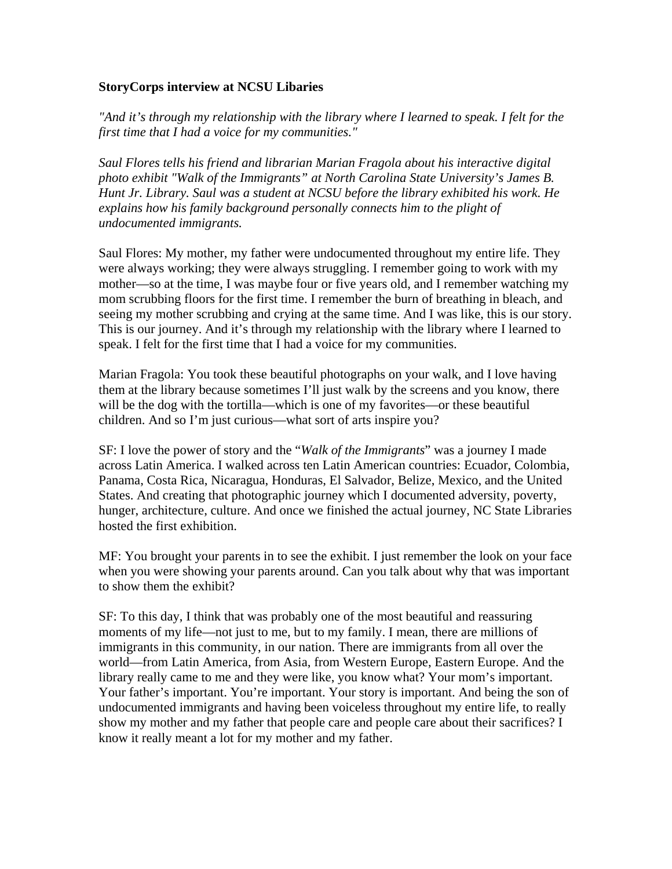## **StoryCorps interview at NCSU Libaries**

*"And it's through my relationship with the library where I learned to speak. I felt for the first time that I had a voice for my communities."*

*Saul Flores tells his friend and librarian Marian Fragola about his interactive digital photo exhibit "Walk of the Immigrants" at North Carolina State University's James B. Hunt Jr. Library. Saul was a student at NCSU before the library exhibited his work. He explains how his family background personally connects him to the plight of undocumented immigrants.*

Saul Flores: My mother, my father were undocumented throughout my entire life. They were always working; they were always struggling. I remember going to work with my mother—so at the time, I was maybe four or five years old, and I remember watching my mom scrubbing floors for the first time. I remember the burn of breathing in bleach, and seeing my mother scrubbing and crying at the same time. And I was like, this is our story. This is our journey. And it's through my relationship with the library where I learned to speak. I felt for the first time that I had a voice for my communities.

Marian Fragola: You took these beautiful photographs on your walk, and I love having them at the library because sometimes I'll just walk by the screens and you know, there will be the dog with the tortilla—which is one of my favorites—or these beautiful children. And so I'm just curious—what sort of arts inspire you?

SF: I love the power of story and the "*Walk of the Immigrants*" was a journey I made across Latin America. I walked across ten Latin American countries: Ecuador, Colombia, Panama, Costa Rica, Nicaragua, Honduras, El Salvador, Belize, Mexico, and the United States. And creating that photographic journey which I documented adversity, poverty, hunger, architecture, culture. And once we finished the actual journey, NC State Libraries hosted the first exhibition.

MF: You brought your parents in to see the exhibit. I just remember the look on your face when you were showing your parents around. Can you talk about why that was important to show them the exhibit?

SF: To this day, I think that was probably one of the most beautiful and reassuring moments of my life—not just to me, but to my family. I mean, there are millions of immigrants in this community, in our nation. There are immigrants from all over the world—from Latin America, from Asia, from Western Europe, Eastern Europe. And the library really came to me and they were like, you know what? Your mom's important. Your father's important. You're important. Your story is important. And being the son of undocumented immigrants and having been voiceless throughout my entire life, to really show my mother and my father that people care and people care about their sacrifices? I know it really meant a lot for my mother and my father.